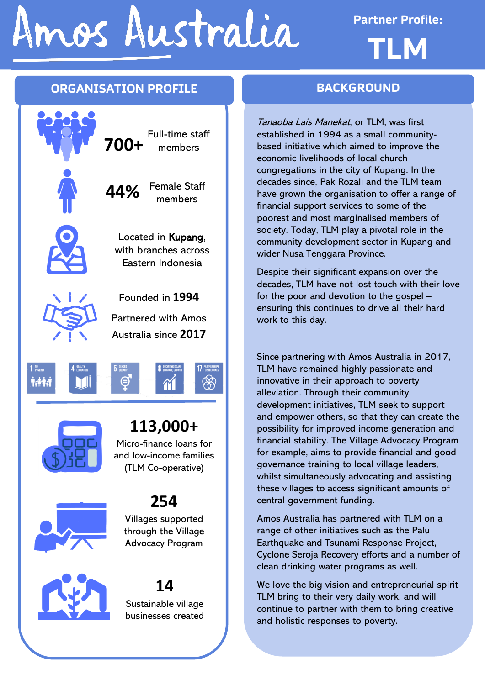# Imos Australia

**Partner Profile: TLM**

#### **ORGANISATION PROFILE**





### **113,000+**

Micro-finance loans for and low-income families (TLM Co-operative)



# **254**

Villages supported through the Village Advocacy Program



## **14**

Sustainable village businesses created

#### **BACKGROUND**

Tanaoba Lais Manekat, or TLM, was first established in 1994 as a small communitybased initiative which aimed to improve the economic livelihoods of local church congregations in the city of Kupang. In the decades since, Pak Rozali and the TLM team have grown the organisation to offer a range of financial support services to some of the poorest and most marginalised members of society. Today, TLM play a pivotal role in the community development sector in Kupang and wider Nusa Tenggara Province.

Despite their significant expansion over the decades, TLM have not lost touch with their love for the poor and devotion to the gospel – ensuring this continues to drive all their hard work to this day.

Since partnering with Amos Australia in 2017, TLM have remained highly passionate and innovative in their approach to poverty alleviation. Through their community development initiatives, TLM seek to support and empower others, so that they can create the possibility for improved income generation and financial stability. The Village Advocacy Program for example, aims to provide financial and good governance training to local village leaders, whilst simultaneously advocating and assisting these villages to access significant amounts of central government funding.

Amos Australia has partnered with TLM on a range of other initiatives such as the Palu Earthquake and Tsunami Response Project, Cyclone Seroja Recovery efforts and a number of clean drinking water programs as well.

We love the big vision and entrepreneurial spirit TLM bring to their very daily work, and will continue to partner with them to bring creative and holistic responses to poverty.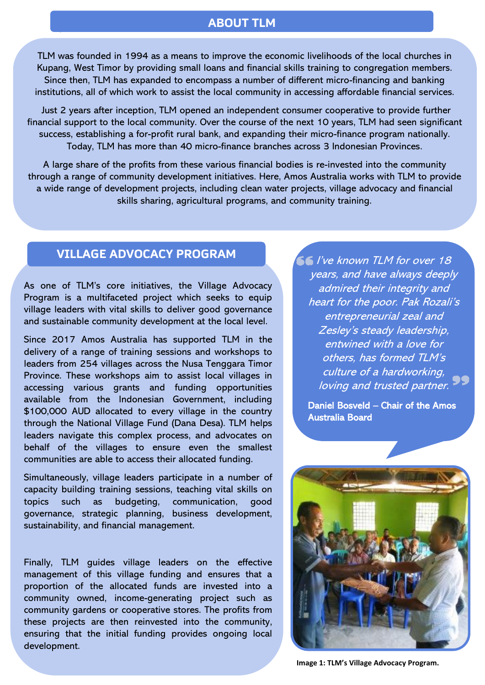#### **ABOUT TLM**

TLM was founded in 1994 as a means to improve the economic livelihoods of the local churches in Kupang, West Timor by providing small loans and financial skills training to congregation members. Since then, TLM has expanded to encompass a number of different micro-financing and banking institutions, all of which work to assist the local community in accessing affordable financial services.

Just 2 years after inception, TLM opened an independent consumer cooperative to provide further financial support to the local community. Over the course of the next 10 years, TLM had seen significant success, establishing a for-profit rural bank, and expanding their micro-finance program nationally. Today, TLM has more than 40 micro-finance branches across 3 Indonesian Provinces.

A large share of the profits from these various financial bodies is re-invested into the community through a range of community development initiatives. Here, Amos Australia works with TLM to provide a wide range of development projects, including clean water projects, village advocacy and financial skills sharing, agricultural programs, and community training.

#### **VILLAGE ADVOCACY PROGRAM**

`

As one of TLM's core initiatives, the Village Advocacy Program is a multifaceted project which seeks to equip village leaders with vital skills to deliver good governance and sustainable community development at the local level.

Since 2017 Amos Australia has supported TLM in the delivery of a range of training sessions and workshops to leaders from 254 villages across the Nusa Tenggara Timor Province. These workshops aim to assist local villages in accessing various grants and funding opportunities available from the Indonesian Government, including \$100,000 AUD allocated to every village in the country through the National Village Fund (Dana Desa). TLM helps leaders navigate this complex process, and advocates on behalf of the villages to ensure even the smallest communities are able to access their allocated funding.

Simultaneously, village leaders participate in a number of capacity building training sessions, teaching vital skills on topics such as budgeting, communication, good governance, strategic planning, business development, sustainability, and financial management.

Finally, TLM guides village leaders on the effective management of this village funding and ensures that a proportion of the allocated funds are invested into a community owned, income-generating project such as community gardens or cooperative stores. The profits from these projects are then reinvested into the community, ensuring that the initial funding provides ongoing local development.

 $\leq$  I've known TLM for over 18 years, and have always deeply admired their integrity and heart for the poor. Pak Rozali'<sup>s</sup> entrepreneurial zeal and Zesley's steady leadership, entwined with a love for others, has formed TLM'<sup>s</sup> culture of a hardworking, loving and trusted partner.

Daniel Bosveld – Chair of the Amos Australia Board



**Image 1: TLM's Village Advocacy Program.**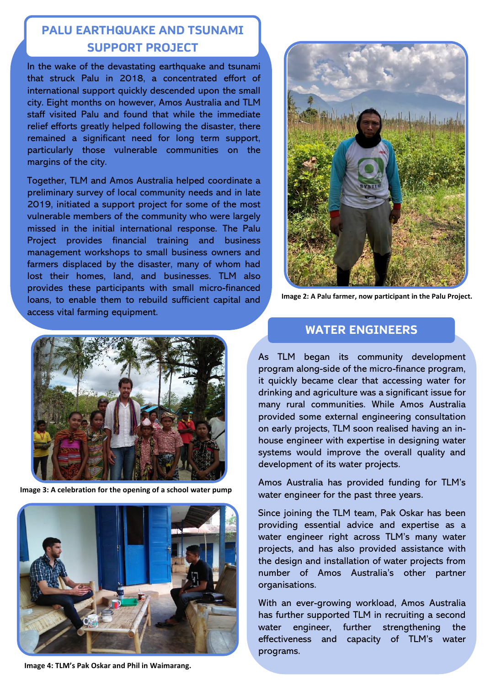#### **PALU**  ` **EARTHQUAKE AND TSUNAMI SUPPORT PROJECT**

In the wake of the devastating earthquake and tsunami that struck Palu in 2018, a concentrated effort of international support quickly descended upon the small city. Eight months on however, Amos Australia and TLM staff visited Palu and found that while the immediate relief efforts greatly helped following the disaster, there remained a significant need for long term support, particularly those vulnerable communities on the margins of the city.

Together, TLM and Amos Australia helped coordinate a preliminary survey of local community needs and in late 2019, initiated a support project for some of the most vulnerable members of the community who were largely missed in the initial international response. The Palu Project provides financial training and business management workshops to small business owners and farmers displaced by the disaster, many of whom had lost their homes, land, and businesses. TLM also provides these participants with small micro-financed loans, to enable them to rebuild sufficient capital and access vital farming equipment.



**Image 2: A Palu farmer, now participant in the Palu Project.**



**Image 3: A celebration for the opening of a school water pump**



**Image 4: TLM's Pak Oskar and Phil in Waimarang.**

#### **WATER ENGINEERS**

As TLM began its community development program along-side of the micro-finance program, it quickly became clear that accessing water for drinking and agriculture was a significant issue for many rural communities. While Amos Australia provided some external engineering consultation on early projects, TLM soon realised having an inhouse engineer with expertise in designing water systems would improve the overall quality and development of its water projects.

Amos Australia has provided funding for TLM's water engineer for the past three years.

Since joining the TLM team, Pak Oskar has been providing essential advice and expertise as a water engineer right across TLM's many water projects, and has also provided assistance with the design and installation of water projects from number of Amos Australia's other partner organisations.

With an ever-growing workload, Amos Australia has further supported TLM in recruiting a second water engineer, further strengthening the effectiveness and capacity of TLM's water programs.